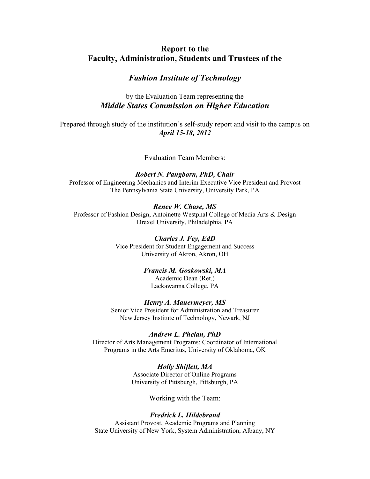# **Report to the Faculty, Administration, Students and Trustees of the**

# *Fashion Institute of Technology*

# by the Evaluation Team representing the *Middle States Commission on Higher Education*

Prepared through study of the institution's self-study report and visit to the campus on *April 15-18, 2012* 

Evaluation Team Members:

# *Robert N. Pangborn, PhD, Chair*

Professor of Engineering Mechanics and Interim Executive Vice President and Provost The Pennsylvania State University, University Park, PA

# *Renee W. Chase, MS*

Professor of Fashion Design, Antoinette Westphal College of Media Arts & Design Drexel University, Philadelphia, PA

## *Charles J. Fey, EdD*

Vice President for Student Engagement and Success University of Akron, Akron, OH

# *Francis M. Goskowski, MA*

Academic Dean (Ret.) Lackawanna College, PA

## *Henry A. Mauermeyer, MS*

Senior Vice President for Administration and Treasurer New Jersey Institute of Technology, Newark, NJ

## *Andrew L. Phelan, PhD*

Director of Arts Management Programs; Coordinator of International Programs in the Arts Emeritus, University of Oklahoma, OK

# *Holly Shiflett, MA*

Associate Director of Online Programs University of Pittsburgh, Pittsburgh, PA

Working with the Team:

# *Fredrick L. Hildebrand*

Assistant Provost, Academic Programs and Planning State University of New York, System Administration, Albany, NY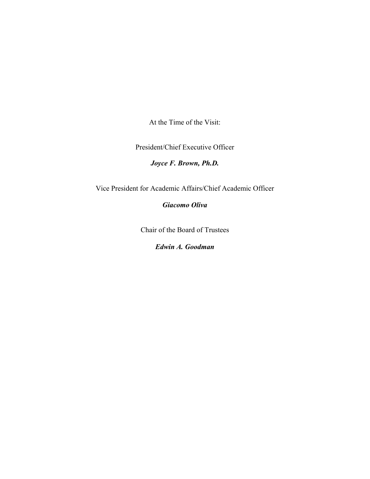At the Time of the Visit:

President/Chief Executive Officer

*Joyce F. Brown, Ph.D.* 

Vice President for Academic Affairs/Chief Academic Officer

*Giacomo Oliva* 

Chair of the Board of Trustees

*Edwin A. Goodman*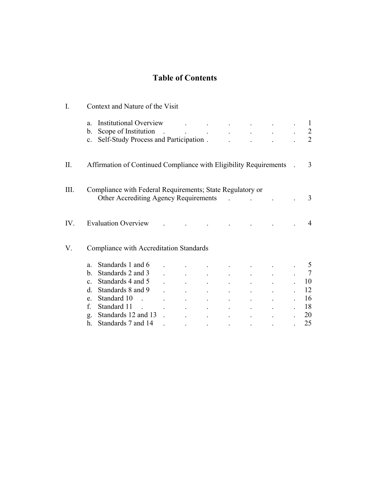# **Table of Contents**

| $\overline{I}$ . | Context and Nature of the Visit                                                                                                                                                                  |  |  |  |                                                |                                                                                                                  |                                                                                                                                         |  |                                                   |
|------------------|--------------------------------------------------------------------------------------------------------------------------------------------------------------------------------------------------|--|--|--|------------------------------------------------|------------------------------------------------------------------------------------------------------------------|-----------------------------------------------------------------------------------------------------------------------------------------|--|---------------------------------------------------|
|                  | <b>Institutional Overview</b><br>a.<br>Scope of Institution<br>b.<br>Self-Study Process and Participation.<br>$\mathbf{c}$ .                                                                     |  |  |  | $\bullet$                                      |                                                                                                                  | $\mathcal{A}^{\mathcal{A}}$ and $\mathcal{A}^{\mathcal{A}}$ are the set of the set of the set of the set of $\mathcal{A}^{\mathcal{A}}$ |  | $\perp$<br>2                                      |
| II.              | Affirmation of Continued Compliance with Eligibility Requirements                                                                                                                                |  |  |  |                                                |                                                                                                                  |                                                                                                                                         |  | 3                                                 |
| III.             | Compliance with Federal Requirements; State Regulatory or<br>Other Accrediting Agency Requirements                                                                                               |  |  |  |                                                |                                                                                                                  |                                                                                                                                         |  | 3                                                 |
| IV.              | <b>Evaluation Overview</b>                                                                                                                                                                       |  |  |  |                                                |                                                                                                                  |                                                                                                                                         |  | 4                                                 |
| V.               | Compliance with Accreditation Standards                                                                                                                                                          |  |  |  |                                                |                                                                                                                  |                                                                                                                                         |  |                                                   |
|                  | Standards 1 and 6<br>a.<br>Standards 2 and 3<br>b.<br>Standards 4 and 5<br>$\mathbf{c}$ .<br>Standards 8 and 9<br>d.<br>Standard 10<br>$e_{-}$<br>f.<br>Standard 11<br>Standards 12 and 13<br>g. |  |  |  | $\mathbf{z}$ and $\mathbf{z}$ and $\mathbf{z}$ |                                                                                                                  |                                                                                                                                         |  | 5<br>$\overline{7}$<br>10<br>12<br>16<br>18<br>20 |
|                  | Standards 7 and 14<br>h.                                                                                                                                                                         |  |  |  |                                                | because the control of the control of the control of the control of the control of the control of the control of |                                                                                                                                         |  | 25                                                |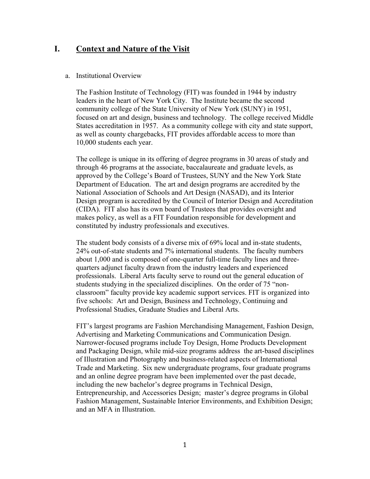# **I. Context and Nature of the Visit**

## a. Institutional Overview

The Fashion Institute of Technology (FIT) was founded in 1944 by industry leaders in the heart of New York City. The Institute became the second community college of the State University of New York (SUNY) in 1951, focused on art and design, business and technology. The college received Middle States accreditation in 1957. As a community college with city and state support, as well as county chargebacks, FIT provides affordable access to more than 10,000 students each year.

The college is unique in its offering of degree programs in 30 areas of study and through 46 programs at the associate, baccalaureate and graduate levels, as approved by the College's Board of Trustees, SUNY and the New York State Department of Education. The art and design programs are accredited by the National Association of Schools and Art Design (NASAD), and its Interior Design program is accredited by the Council of Interior Design and Accreditation (CIDA). FIT also has its own board of Trustees that provides oversight and makes policy, as well as a FIT Foundation responsible for development and constituted by industry professionals and executives.

The student body consists of a diverse mix of 69% local and in-state students, 24% out-of-state students and 7% international students. The faculty numbers about 1,000 and is composed of one-quarter full-time faculty lines and threequarters adjunct faculty drawn from the industry leaders and experienced professionals. Liberal Arts faculty serve to round out the general education of students studying in the specialized disciplines. On the order of 75 "nonclassroom" faculty provide key academic support services. FIT is organized into five schools: Art and Design, Business and Technology, Continuing and Professional Studies, Graduate Studies and Liberal Arts.

FIT's largest programs are Fashion Merchandising Management, Fashion Design, Advertising and Marketing Communications and Communication Design. Narrower-focused programs include Toy Design, Home Products Development and Packaging Design, while mid-size programs address the art-based disciplines of Illustration and Photography and business-related aspects of International Trade and Marketing. Six new undergraduate programs, four graduate programs and an online degree program have been implemented over the past decade, including the new bachelor's degree programs in Technical Design, Entrepreneurship, and Accessories Design; master's degree programs in Global Fashion Management, Sustainable Interior Environments, and Exhibition Design; and an MFA in Illustration.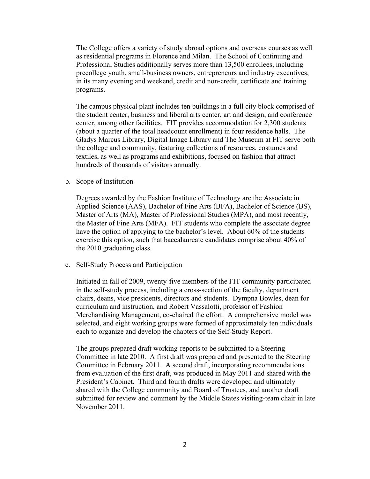The College offers a variety of study abroad options and overseas courses as well as residential programs in Florence and Milan. The School of Continuing and Professional Studies additionally serves more than 13,500 enrollees, including precollege youth, small-business owners, entrepreneurs and industry executives, in its many evening and weekend, credit and non-credit, certificate and training programs.

The campus physical plant includes ten buildings in a full city block comprised of the student center, business and liberal arts center, art and design, and conference center, among other facilities. FIT provides accommodation for 2,300 students (about a quarter of the total headcount enrollment) in four residence halls. The Gladys Marcus Library, Digital Image Library and The Museum at FIT serve both the college and community, featuring collections of resources, costumes and textiles, as well as programs and exhibitions, focused on fashion that attract hundreds of thousands of visitors annually.

b. Scope of Institution

Degrees awarded by the Fashion Institute of Technology are the Associate in Applied Science (AAS), Bachelor of Fine Arts (BFA), Bachelor of Science (BS), Master of Arts (MA), Master of Professional Studies (MPA), and most recently, the Master of Fine Arts (MFA). FIT students who complete the associate degree have the option of applying to the bachelor's level. About 60% of the students exercise this option, such that baccalaureate candidates comprise about 40% of the 2010 graduating class.

c. Self-Study Process and Participation

Initiated in fall of 2009, twenty-five members of the FIT community participated in the self-study process, including a cross-section of the faculty, department chairs, deans, vice presidents, directors and students. Dympna Bowles, dean for curriculum and instruction, and Robert Vassalotti, professor of Fashion Merchandising Management, co-chaired the effort. A comprehensive model was selected, and eight working groups were formed of approximately ten individuals each to organize and develop the chapters of the Self-Study Report.

The groups prepared draft working-reports to be submitted to a Steering Committee in late 2010. A first draft was prepared and presented to the Steering Committee in February 2011. A second draft, incorporating recommendations from evaluation of the first draft, was produced in May 2011 and shared with the President's Cabinet. Third and fourth drafts were developed and ultimately shared with the College community and Board of Trustees, and another draft submitted for review and comment by the Middle States visiting-team chair in late November 2011.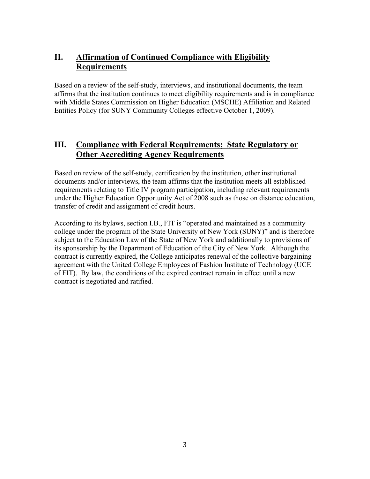# **II. Affirmation of Continued Compliance with Eligibility Requirements**

Based on a review of the self-study, interviews, and institutional documents, the team affirms that the institution continues to meet eligibility requirements and is in compliance with Middle States Commission on Higher Education (MSCHE) Affiliation and Related Entities Policy (for SUNY Community Colleges effective October 1, 2009).

# **III. Compliance with Federal Requirements; State Regulatory or Other Accrediting Agency Requirements**

Based on review of the self-study, certification by the institution, other institutional documents and/or interviews, the team affirms that the institution meets all established requirements relating to Title IV program participation, including relevant requirements under the Higher Education Opportunity Act of 2008 such as those on distance education, transfer of credit and assignment of credit hours.

According to its bylaws, section I.B., FIT is "operated and maintained as a community college under the program of the State University of New York (SUNY)" and is therefore subject to the Education Law of the State of New York and additionally to provisions of its sponsorship by the Department of Education of the City of New York. Although the contract is currently expired, the College anticipates renewal of the collective bargaining agreement with the United College Employees of Fashion Institute of Technology (UCE of FIT). By law, the conditions of the expired contract remain in effect until a new contract is negotiated and ratified.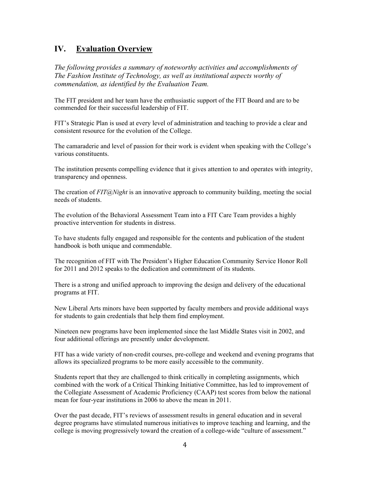# **IV. Evaluation Overview**

*The following provides a summary of noteworthy activities and accomplishments of The Fashion Institute of Technology, as well as institutional aspects worthy of commendation, as identified by the Evaluation Team.*

The FIT president and her team have the enthusiastic support of the FIT Board and are to be commended for their successful leadership of FIT.

FIT's Strategic Plan is used at every level of administration and teaching to provide a clear and consistent resource for the evolution of the College.

The camaraderie and level of passion for their work is evident when speaking with the College's various constituents.

The institution presents compelling evidence that it gives attention to and operates with integrity, transparency and openness.

The creation of *FIT@Night* is an innovative approach to community building, meeting the social needs of students.

The evolution of the Behavioral Assessment Team into a FIT Care Team provides a highly proactive intervention for students in distress.

To have students fully engaged and responsible for the contents and publication of the student handbook is both unique and commendable.

The recognition of FIT with The President's Higher Education Community Service Honor Roll for 2011 and 2012 speaks to the dedication and commitment of its students.

There is a strong and unified approach to improving the design and delivery of the educational programs at FIT.

New Liberal Arts minors have been supported by faculty members and provide additional ways for students to gain credentials that help them find employment.

Nineteen new programs have been implemented since the last Middle States visit in 2002, and four additional offerings are presently under development.

FIT has a wide variety of non-credit courses, pre-college and weekend and evening programs that allows its specialized programs to be more easily accessible to the community.

Students report that they are challenged to think critically in completing assignments, which combined with the work of a Critical Thinking Initiative Committee, has led to improvement of the Collegiate Assessment of Academic Proficiency (CAAP) test scores from below the national mean for four-year institutions in 2006 to above the mean in 2011.

Over the past decade, FIT's reviews of assessment results in general education and in several degree programs have stimulated numerous initiatives to improve teaching and learning, and the college is moving progressively toward the creation of a college-wide "culture of assessment."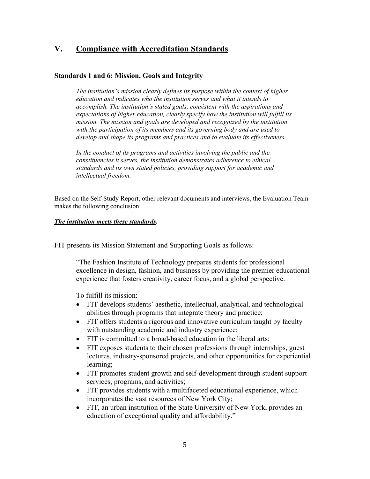# **V. Compliance with Accreditation Standards**

# **Standards 1 and 6: Mission, Goals and Integrity**

*The institution's mission clearly defines its purpose within the context of higher education and indicates who the institution serves and what it intends to accomplish. The institution's stated goals, consistent with the aspirations and expectations of higher education, clearly specify how the institution will fulfill its mission. The mission and goals are developed and recognized by the institution with the participation of its members and its governing body and are used to develop and shape its programs and practices and to evaluate its effectiveness.* 

*In the conduct of its programs and activities involving the public and the constituencies it serves, the institution demonstrates adherence to ethical standards and its own stated policies, providing support for academic and intellectual freedom.* 

Based on the Self-Study Report, other relevant documents and interviews, the Evaluation Team makes the following conclusion:

# *The institution meets these standards.*

FIT presents its Mission Statement and Supporting Goals as follows:

"The Fashion Institute of Technology prepares students for professional excellence in design, fashion, and business by providing the premier educational experience that fosters creativity, career focus, and a global perspective.

To fulfill its mission:

- FIT develops students' aesthetic, intellectual, analytical, and technological abilities through programs that integrate theory and practice;
- FIT offers students a rigorous and innovative curriculum taught by faculty with outstanding academic and industry experience;
- FIT is committed to a broad-based education in the liberal arts;
- FIT exposes students to their chosen professions through internships, guest lectures, industry-sponsored projects, and other opportunities for experiential learning;
- FIT promotes student growth and self-development through student support services, programs, and activities;
- FIT provides students with a multifaceted educational experience, which incorporates the vast resources of New York City;
- FIT, an urban institution of the State University of New York, provides an education of exceptional quality and affordability."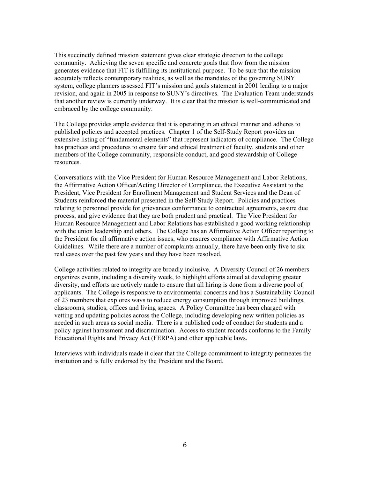This succinctly defined mission statement gives clear strategic direction to the college community. Achieving the seven specific and concrete goals that flow from the mission generates evidence that FIT is fulfilling its institutional purpose. To be sure that the mission accurately reflects contemporary realities, as well as the mandates of the governing SUNY system, college planners assessed FIT's mission and goals statement in 2001 leading to a major revision, and again in 2005 in response to SUNY's directives. The Evaluation Team understands that another review is currently underway. It is clear that the mission is well-communicated and embraced by the college community.

The College provides ample evidence that it is operating in an ethical manner and adheres to published policies and accepted practices. Chapter 1 of the Self-Study Report provides an extensive listing of "fundamental elements" that represent indicators of compliance. The College has practices and procedures to ensure fair and ethical treatment of faculty, students and other members of the College community, responsible conduct, and good stewardship of College resources.

Conversations with the Vice President for Human Resource Management and Labor Relations, the Affirmative Action Officer/Acting Director of Compliance, the Executive Assistant to the President, Vice President for Enrollment Management and Student Services and the Dean of Students reinforced the material presented in the Self-Study Report. Policies and practices relating to personnel provide for grievances conformance to contractual agreements, assure due process, and give evidence that they are both prudent and practical. The Vice President for Human Resource Management and Labor Relations has established a good working relationship with the union leadership and others. The College has an Affirmative Action Officer reporting to the President for all affirmative action issues, who ensures compliance with Affirmative Action Guidelines. While there are a number of complaints annually, there have been only five to six real cases over the past few years and they have been resolved.

College activities related to integrity are broadly inclusive. A Diversity Council of 26 members organizes events, including a diversity week, to highlight efforts aimed at developing greater diversity, and efforts are actively made to ensure that all hiring is done from a diverse pool of applicants. The College is responsive to environmental concerns and has a Sustainability Council of 23 members that explores ways to reduce energy consumption through improved buildings, classrooms, studios, offices and living spaces. A Policy Committee has been charged with vetting and updating policies across the College, including developing new written policies as needed in such areas as social media. There is a published code of conduct for students and a policy against harassment and discrimination. Access to student records conforms to the Family Educational Rights and Privacy Act (FERPA) and other applicable laws.

Interviews with individuals made it clear that the College commitment to integrity permeates the institution and is fully endorsed by the President and the Board.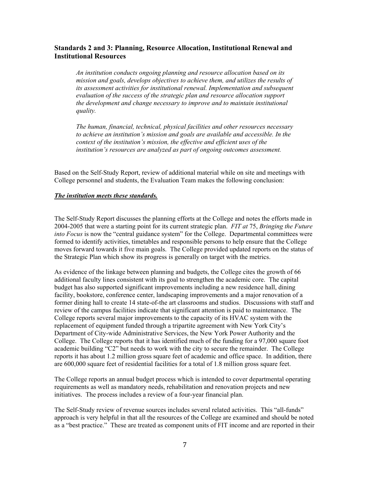# **Standards 2 and 3: Planning, Resource Allocation, Institutional Renewal and Institutional Resources**

*An institution conducts ongoing planning and resource allocation based on its mission and goals, develops objectives to achieve them, and utilizes the results of its assessment activities for institutional renewal. Implementation and subsequent evaluation of the success of the strategic plan and resource allocation support the development and change necessary to improve and to maintain institutional quality.* 

*The human, financial, technical, physical facilities and other resources necessary to achieve an institution's mission and goals are available and accessible. In the context of the institution's mission, the effective and efficient uses of the institution's resources are analyzed as part of ongoing outcomes assessment.* 

Based on the Self-Study Report, review of additional material while on site and meetings with College personnel and students, the Evaluation Team makes the following conclusion:

#### *The institution meets these standards.*

The Self-Study Report discusses the planning efforts at the College and notes the efforts made in 2004-2005 that were a starting point for its current strategic plan. *FIT at* 75, *Bringing the Future into Focus* is now the "central guidance system" for the College. Departmental committees were formed to identify activities, timetables and responsible persons to help ensure that the College moves forward towards it five main goals. The College provided updated reports on the status of the Strategic Plan which show its progress is generally on target with the metrics.

As evidence of the linkage between planning and budgets, the College cites the growth of 66 additional faculty lines consistent with its goal to strengthen the academic core. The capital budget has also supported significant improvements including a new residence hall, dining facility, bookstore, conference center, landscaping improvements and a major renovation of a former dining hall to create 14 state-of-the art classrooms and studios. Discussions with staff and review of the campus facilities indicate that significant attention is paid to maintenance. The College reports several major improvements to the capacity of its HVAC system with the replacement of equipment funded through a tripartite agreement with New York City's Department of City-wide Administrative Services, the New York Power Authority and the College. The College reports that it has identified much of the funding for a 97,000 square foot academic building "C2" but needs to work with the city to secure the remainder. The College reports it has about 1.2 million gross square feet of academic and office space. In addition, there are 600,000 square feet of residential facilities for a total of 1.8 million gross square feet.

The College reports an annual budget process which is intended to cover departmental operating requirements as well as mandatory needs, rehabilitation and renovation projects and new initiatives. The process includes a review of a four-year financial plan.

The Self-Study review of revenue sources includes several related activities. This "all-funds" approach is very helpful in that all the resources of the College are examined and should be noted as a "best practice." These are treated as component units of FIT income and are reported in their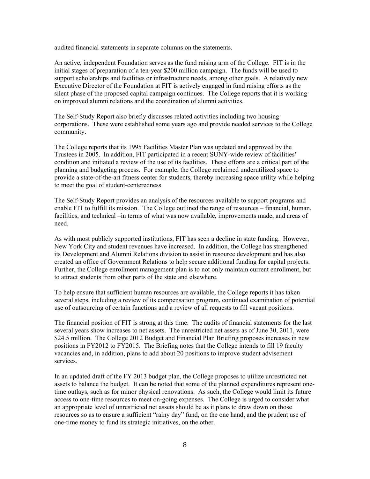audited financial statements in separate columns on the statements.

An active, independent Foundation serves as the fund raising arm of the College. FIT is in the initial stages of preparation of a ten-year \$200 million campaign. The funds will be used to support scholarships and facilities or infrastructure needs, among other goals. A relatively new Executive Director of the Foundation at FIT is actively engaged in fund raising efforts as the silent phase of the proposed capital campaign continues. The College reports that it is working on improved alumni relations and the coordination of alumni activities.

The Self-Study Report also briefly discusses related activities including two housing corporations. These were established some years ago and provide needed services to the College community.

The College reports that its 1995 Facilities Master Plan was updated and approved by the Trustees in 2005. In addition, FIT participated in a recent SUNY-wide review of facilities' condition and initiated a review of the use of its facilities. These efforts are a critical part of the planning and budgeting process. For example, the College reclaimed underutilized space to provide a state-of-the-art fitness center for students, thereby increasing space utility while helping to meet the goal of student-centeredness.

The Self-Study Report provides an analysis of the resources available to support programs and enable FIT to fulfill its mission. The College outlined the range of resources – financial, human, facilities, and technical –in terms of what was now available, improvements made, and areas of need.

As with most publicly supported institutions, FIT has seen a decline in state funding. However, New York City and student revenues have increased. In addition, the College has strengthened its Development and Alumni Relations division to assist in resource development and has also created an office of Government Relations to help secure additional funding for capital projects. Further, the College enrollment management plan is to not only maintain current enrollment, but to attract students from other parts of the state and elsewhere.

To help ensure that sufficient human resources are available, the College reports it has taken several steps, including a review of its compensation program, continued examination of potential use of outsourcing of certain functions and a review of all requests to fill vacant positions.

The financial position of FIT is strong at this time. The audits of financial statements for the last several years show increases to net assets. The unrestricted net assets as of June 30, 2011, were \$24.5 million. The College 2012 Budget and Financial Plan Briefing proposes increases in new positions in FY2012 to FY2015. The Briefing notes that the College intends to fill 19 faculty vacancies and, in addition, plans to add about 20 positions to improve student advisement services.

In an updated draft of the FY 2013 budget plan, the College proposes to utilize unrestricted net assets to balance the budget. It can be noted that some of the planned expenditures represent onetime outlays, such as for minor physical renovations. As such, the College would limit its future access to one-time resources to meet on-going expenses. The College is urged to consider what an appropriate level of unrestricted net assets should be as it plans to draw down on those resources so as to ensure a sufficient "rainy day" fund, on the one hand, and the prudent use of one-time money to fund its strategic initiatives, on the other.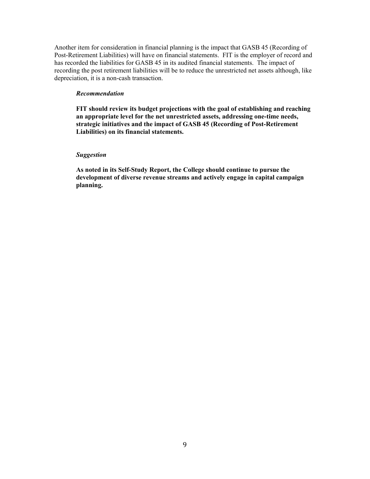Another item for consideration in financial planning is the impact that GASB 45 (Recording of Post-Retirement Liabilities) will have on financial statements. FIT is the employer of record and has recorded the liabilities for GASB 45 in its audited financial statements. The impact of recording the post retirement liabilities will be to reduce the unrestricted net assets although, like depreciation, it is a non-cash transaction.

#### *Recommendation*

**FIT should review its budget projections with the goal of establishing and reaching an appropriate level for the net unrestricted assets, addressing one-time needs, strategic initiatives and the impact of GASB 45 (Recording of Post-Retirement Liabilities) on its financial statements.** 

#### *Suggestion*

**As noted in its Self-Study Report, the College should continue to pursue the development of diverse revenue streams and actively engage in capital campaign planning.**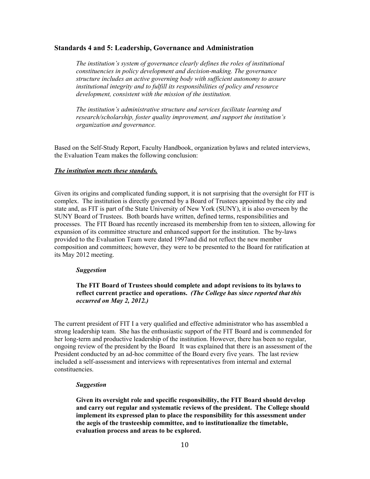### **Standards 4 and 5: Leadership, Governance and Administration**

*The institution's system of governance clearly defines the roles of institutional constituencies in policy development and decision-making. The governance structure includes an active governing body with sufficient autonomy to assure institutional integrity and to fulfill its responsibilities of policy and resource development, consistent with the mission of the institution.* 

*The institution's administrative structure and services facilitate learning and research/scholarship, foster quality improvement, and support the institution's organization and governance.* 

Based on the Self-Study Report, Faculty Handbook, organization bylaws and related interviews, the Evaluation Team makes the following conclusion:

#### *The institution meets these standards.*

Given its origins and complicated funding support, it is not surprising that the oversight for FIT is complex. The institution is directly governed by a Board of Trustees appointed by the city and state and, as FIT is part of the State University of New York (SUNY), it is also overseen by the SUNY Board of Trustees. Both boards have written, defined terms, responsibilities and processes. The FIT Board has recently increased its membership from ten to sixteen, allowing for expansion of its committee structure and enhanced support for the institution. The by-laws provided to the Evaluation Team were dated 1997and did not reflect the new member composition and committees; however, they were to be presented to the Board for ratification at its May 2012 meeting.

#### *Suggestion*

## **The FIT Board of Trustees should complete and adopt revisions to its bylaws to reflect current practice and operations.** *(The College has since reported that this occurred on May 2, 2012.)*

The current president of FIT I a very qualified and effective administrator who has assembled a strong leadership team. She has the enthusiastic support of the FIT Board and is commended for her long-term and productive leadership of the institution. However, there has been no regular, ongoing review of the president by the Board It was explained that there is an assessment of the President conducted by an ad-hoc committee of the Board every five years. The last review included a self-assessment and interviews with representatives from internal and external constituencies.

#### *Suggestion*

**Given its oversight role and specific responsibility, the FIT Board should develop and carry out regular and systematic reviews of the president. The College should implement its expressed plan to place the responsibility for this assessment under the aegis of the trusteeship committee, and to institutionalize the timetable, evaluation process and areas to be explored.**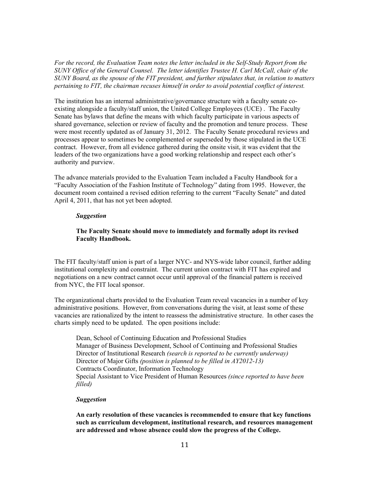*For the record, the Evaluation Team notes the letter included in the Self-Study Report from the SUNY Office of the General Counsel. The letter identifies Trustee H. Carl McCall, chair of the SUNY Board, as the spouse of the FIT president, and further stipulates that, in relation to matters pertaining to FIT, the chairman recuses himself in order to avoid potential conflict of interest.* 

The institution has an internal administrative/governance structure with a faculty senate coexisting alongside a faculty/staff union, the United College Employees (UCE) . The Faculty Senate has bylaws that define the means with which faculty participate in various aspects of shared governance, selection or review of faculty and the promotion and tenure process. These were most recently updated as of January 31, 2012. The Faculty Senate procedural reviews and processes appear to sometimes be complemented or superseded by those stipulated in the UCE contract. However, from all evidence gathered during the onsite visit, it was evident that the leaders of the two organizations have a good working relationship and respect each other's authority and purview.

The advance materials provided to the Evaluation Team included a Faculty Handbook for a "Faculty Association of the Fashion Institute of Technology" dating from 1995. However, the document room contained a revised edition referring to the current "Faculty Senate" and dated April 4, 2011, that has not yet been adopted.

### *Suggestion*

## **The Faculty Senate should move to immediately and formally adopt its revised Faculty Handbook.**

The FIT faculty/staff union is part of a larger NYC- and NYS-wide labor council, further adding institutional complexity and constraint. The current union contract with FIT has expired and negotiations on a new contract cannot occur until approval of the financial pattern is received from NYC, the FIT local sponsor.

The organizational charts provided to the Evaluation Team reveal vacancies in a number of key administrative positions. However, from conversations during the visit, at least some of these vacancies are rationalized by the intent to reassess the administrative structure. In other cases the charts simply need to be updated. The open positions include:

Dean, School of Continuing Education and Professional Studies Manager of Business Development, School of Continuing and Professional Studies Director of Institutional Research *(search is reported to be currently underway)*  Director of Major Gifts *(position is planned to be filled in AY2012-13)*  Contracts Coordinator, Information Technology Special Assistant to Vice President of Human Resources *(since reported to have been filled)* 

#### *Suggestion*

**An early resolution of these vacancies is recommended to ensure that key functions such as curriculum development, institutional research, and resources management are addressed and whose absence could slow the progress of the College.**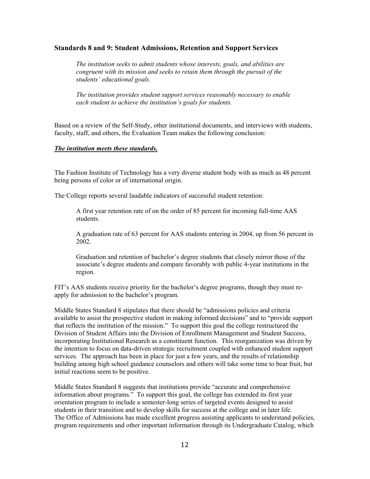## **Standards 8 and 9: Student Admissions, Retention and Support Services**

*The institution seeks to admit students whose interests, goals, and abilities are congruent with its mission and seeks to retain them through the pursuit of the students' educational goals.* 

*The institution provides student support services reasonably necessary to enable each student to achieve the institution's goals for students.* 

Based on a review of the Self-Study, other institutional documents, and interviews with students, faculty, staff, and others, the Evaluation Team makes the following conclusion:

## *The institution meets these standards.*

The Fashion Institute of Technology has a very diverse student body with as much as 48 percent being persons of color or of international origin.

The College reports several laudable indicators of successful student retention:

A first year retention rate of on the order of 85 percent for incoming full-time AAS students.

A graduation rate of 63 percent for AAS students entering in 2004, up from 56 percent in 2002.

Graduation and retention of bachelor's degree students that closely mirror those of the associate's degree students and compare favorably with public 4-year institutions in the region.

FIT's AAS students receive priority for the bachelor's degree programs, though they must reapply for admission to the bachelor's program.

Middle States Standard 8 stipulates that there should be "admissions policies and criteria available to assist the prospective student in making informed decisions" and to "provide support that reflects the institution of the mission." To support this goal the college restructured the Division of Student Affairs into the Division of Enrollment Management and Student Success, incorporating Institutional Research as a constituent function. This reorganization was driven by the intention to focus on data-driven strategic recruitment coupled with enhanced student support services. The approach has been in place for just a few years, and the results of relationship building among high school guidance counselors and others will take some time to bear fruit, but initial reactions seem to be positive.

Middle States Standard 8 suggests that institutions provide "accurate and comprehensive information about programs." To support this goal, the college has extended its first year orientation program to include a semester-long series of targeted events designed to assist students in their transition and to develop skills for success at the college and in later life. The Office of Admissions has made excellent progress assisting applicants to understand policies, program requirements and other important information through its Undergraduate Catalog, which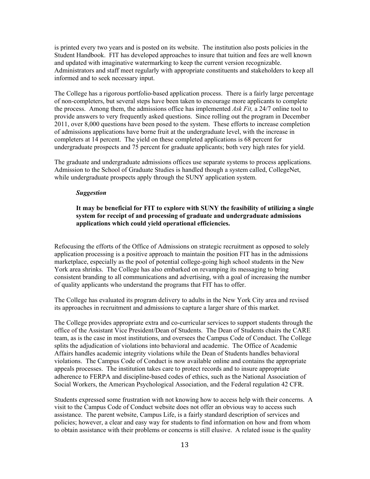is printed every two years and is posted on its website. The institution also posts policies in the Student Handbook. FIT has developed approaches to insure that tuition and fees are well known and updated with imaginative watermarking to keep the current version recognizable. Administrators and staff meet regularly with appropriate constituents and stakeholders to keep all informed and to seek necessary input.

The College has a rigorous portfolio-based application process. There is a fairly large percentage of non-completers, but several steps have been taken to encourage more applicants to complete the process. Among them, the admissions office has implemented *Ask Fit,* a 24/7 online tool to provide answers to very frequently asked questions. Since rolling out the program in December 2011, over 8,000 questions have been posed to the system. These efforts to increase completion of admissions applications have borne fruit at the undergraduate level, with the increase in completers at 14 percent. The yield on these completed applications is 68 percent for undergraduate prospects and 75 percent for graduate applicants; both very high rates for yield.

The graduate and undergraduate admissions offices use separate systems to process applications. Admission to the School of Graduate Studies is handled though a system called, CollegeNet, while undergraduate prospects apply through the SUNY application system.

#### *Suggestion*

### **It may be beneficial for FIT to explore with SUNY the feasibility of utilizing a single system for receipt of and processing of graduate and undergraduate admissions applications which could yield operational efficiencies.**

Refocusing the efforts of the Office of Admissions on strategic recruitment as opposed to solely application processing is a positive approach to maintain the position FIT has in the admissions marketplace, especially as the pool of potential college-going high school students in the New York area shrinks. The College has also embarked on revamping its messaging to bring consistent branding to all communications and advertising, with a goal of increasing the number of quality applicants who understand the programs that FIT has to offer.

The College has evaluated its program delivery to adults in the New York City area and revised its approaches in recruitment and admissions to capture a larger share of this market.

The College provides appropriate extra and co-curricular services to support students through the office of the Assistant Vice President/Dean of Students. The Dean of Students chairs the CARE team, as is the case in most institutions, and oversees the Campus Code of Conduct. The College splits the adjudication of violations into behavioral and academic. The Office of Academic Affairs handles academic integrity violations while the Dean of Students handles behavioral violations. The Campus Code of Conduct is now available online and contains the appropriate appeals processes. The institution takes care to protect records and to insure appropriate adherence to FERPA and discipline-based codes of ethics, such as the National Association of Social Workers, the American Psychological Association, and the Federal regulation 42 CFR.

Students expressed some frustration with not knowing how to access help with their concerns. A visit to the Campus Code of Conduct website does not offer an obvious way to access such assistance. The parent website, Campus Life, is a fairly standard description of services and policies; however, a clear and easy way for students to find information on how and from whom to obtain assistance with their problems or concerns is still elusive. A related issue is the quality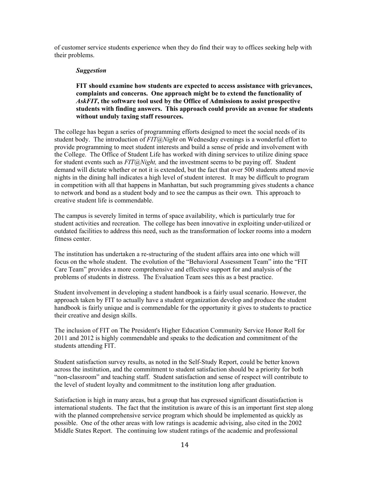of customer service students experience when they do find their way to offices seeking help with their problems.

#### *Suggestion*

## **FIT should examine how students are expected to access assistance with grievances, complaints and concerns. One approach might be to extend the functionality of**  *AskFIT***, the software tool used by the Office of Admissions to assist prospective students with finding answers. This approach could provide an avenue for students without unduly taxing staff resources.**

The college has begun a series of programming efforts designed to meet the social needs of its student body. The introduction of *FIT@Night* on Wednesday evenings is a wonderful effort to provide programming to meet student interests and build a sense of pride and involvement with the College. The Office of Student Life has worked with dining services to utilize dining space for student events such as *FIT@Night,* and the investment seems to be paying off. Student demand will dictate whether or not it is extended, but the fact that over 500 students attend movie nights in the dining hall indicates a high level of student interest. It may be difficult to program in competition with all that happens in Manhattan, but such programming gives students a chance to network and bond as a student body and to see the campus as their own. This approach to creative student life is commendable.

The campus is severely limited in terms of space availability, which is particularly true for student activities and recreation. The college has been innovative in exploiting under-utilized or outdated facilities to address this need, such as the transformation of locker rooms into a modern fitness center.

The institution has undertaken a re-structuring of the student affairs area into one which will focus on the whole student. The evolution of the "Behavioral Assessment Team" into the "FIT Care Team" provides a more comprehensive and effective support for and analysis of the problems of students in distress. The Evaluation Team sees this as a best practice.

Student involvement in developing a student handbook is a fairly usual scenario. However, the approach taken by FIT to actually have a student organization develop and produce the student handbook is fairly unique and is commendable for the opportunity it gives to students to practice their creative and design skills.

The inclusion of FIT on The President's Higher Education Community Service Honor Roll for 2011 and 2012 is highly commendable and speaks to the dedication and commitment of the students attending FIT.

Student satisfaction survey results, as noted in the Self-Study Report, could be better known across the institution, and the commitment to student satisfaction should be a priority for both "non-classroom" and teaching staff. Student satisfaction and sense of respect will contribute to the level of student loyalty and commitment to the institution long after graduation.

Satisfaction is high in many areas, but a group that has expressed significant dissatisfaction is international students. The fact that the institution is aware of this is an important first step along with the planned comprehensive service program which should be implemented as quickly as possible. One of the other areas with low ratings is academic advising, also cited in the 2002 Middle States Report. The continuing low student ratings of the academic and professional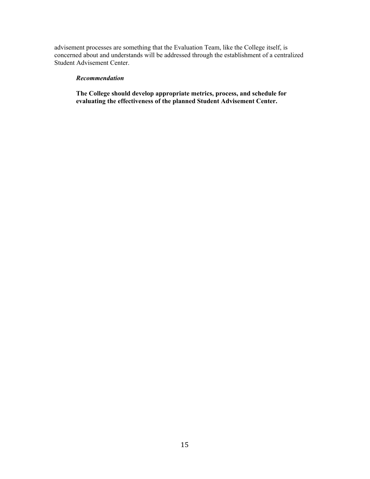advisement processes are something that the Evaluation Team, like the College itself, is concerned about and understands will be addressed through the establishment of a centralized Student Advisement Center.

### *Recommendation*

**The College should develop appropriate metrics, process, and schedule for evaluating the effectiveness of the planned Student Advisement Center.**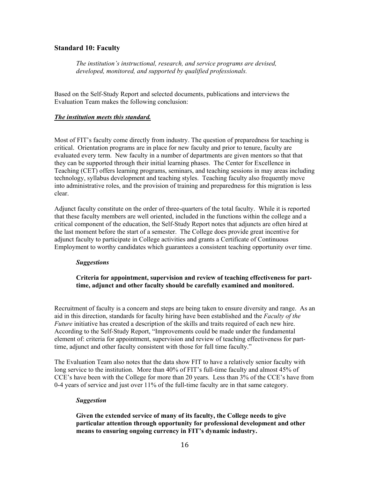# **Standard 10: Faculty**

*The institution's instructional, research, and service programs are devised, developed, monitored, and supported by qualified professionals.* 

Based on the Self-Study Report and selected documents, publications and interviews the Evaluation Team makes the following conclusion:

### *The institution meets this standard.*

Most of FIT's faculty come directly from industry. The question of preparedness for teaching is critical. Orientation programs are in place for new faculty and prior to tenure, faculty are evaluated every term. New faculty in a number of departments are given mentors so that that they can be supported through their initial learning phases. The Center for Excellence in Teaching (CET) offers learning programs, seminars, and teaching sessions in may areas including technology, syllabus development and teaching styles. Teaching faculty also frequently move into administrative roles, and the provision of training and preparedness for this migration is less clear.

Adjunct faculty constitute on the order of three-quarters of the total faculty. While it is reported that these faculty members are well oriented, included in the functions within the college and a critical component of the education, the Self-Study Report notes that adjuncts are often hired at the last moment before the start of a semester. The College does provide great incentive for adjunct faculty to participate in College activities and grants a Certificate of Continuous Employment to worthy candidates which guarantees a consistent teaching opportunity over time.

#### *Suggestions*

# **Criteria for appointment, supervision and review of teaching effectiveness for parttime, adjunct and other faculty should be carefully examined and monitored.**

Recruitment of faculty is a concern and steps are being taken to ensure diversity and range. As an aid in this direction, standards for faculty hiring have been established and the *Faculty of the Future* initiative has created a description of the skills and traits required of each new hire. According to the Self-Study Report, "Improvements could be made under the fundamental element of: criteria for appointment, supervision and review of teaching effectiveness for parttime, adjunct and other faculty consistent with those for full time faculty."

The Evaluation Team also notes that the data show FIT to have a relatively senior faculty with long service to the institution. More than 40% of FIT's full-time faculty and almost 45% of CCE's have been with the College for more than 20 years. Less than 3% of the CCE's have from 0-4 years of service and just over 11% of the full-time faculty are in that same category.

#### *Suggestion*

**Given the extended service of many of its faculty, the College needs to give particular attention through opportunity for professional development and other means to ensuring ongoing currency in FIT's dynamic industry.**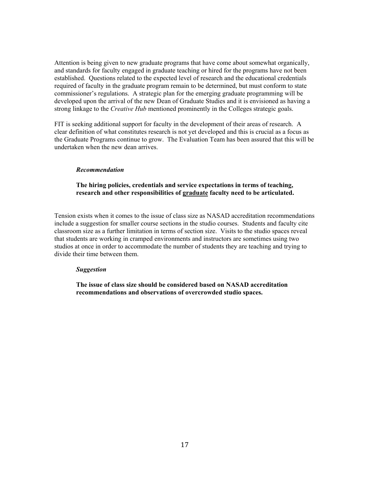Attention is being given to new graduate programs that have come about somewhat organically, and standards for faculty engaged in graduate teaching or hired for the programs have not been established. Questions related to the expected level of research and the educational credentials required of faculty in the graduate program remain to be determined, but must conform to state commissioner's regulations. A strategic plan for the emerging graduate programming will be developed upon the arrival of the new Dean of Graduate Studies and it is envisioned as having a strong linkage to the *Creative Hub* mentioned prominently in the Colleges strategic goals.

FIT is seeking additional support for faculty in the development of their areas of research. A clear definition of what constitutes research is not yet developed and this is crucial as a focus as the Graduate Programs continue to grow. The Evaluation Team has been assured that this will be undertaken when the new dean arrives.

#### *Recommendation*

## **The hiring policies, credentials and service expectations in terms of teaching, research and other responsibilities of graduate faculty need to be articulated.**

Tension exists when it comes to the issue of class size as NASAD accreditation recommendations include a suggestion for smaller course sections in the studio courses. Students and faculty cite classroom size as a further limitation in terms of section size. Visits to the studio spaces reveal that students are working in cramped environments and instructors are sometimes using two studios at once in order to accommodate the number of students they are teaching and trying to divide their time between them.

#### *Suggestion*

**The issue of class size should be considered based on NASAD accreditation recommendations and observations of overcrowded studio spaces.**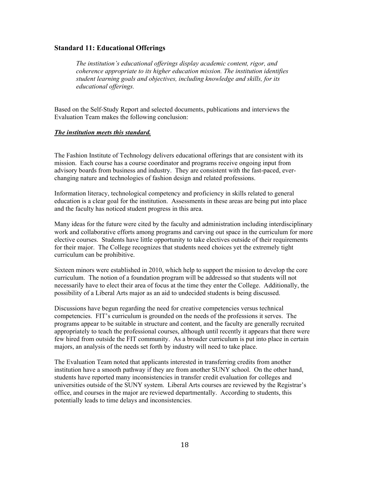# **Standard 11: Educational Offerings**

*The institution's educational offerings display academic content, rigor, and coherence appropriate to its higher education mission. The institution identifies student learning goals and objectives, including knowledge and skills, for its educational offerings.* 

Based on the Self-Study Report and selected documents, publications and interviews the Evaluation Team makes the following conclusion:

## *The institution meets this standard.*

The Fashion Institute of Technology delivers educational offerings that are consistent with its mission. Each course has a course coordinator and programs receive ongoing input from advisory boards from business and industry. They are consistent with the fast-paced, everchanging nature and technologies of fashion design and related professions.

Information literacy, technological competency and proficiency in skills related to general education is a clear goal for the institution. Assessments in these areas are being put into place and the faculty has noticed student progress in this area.

Many ideas for the future were cited by the faculty and administration including interdisciplinary work and collaborative efforts among programs and carving out space in the curriculum for more elective courses. Students have little opportunity to take electives outside of their requirements for their major. The College recognizes that students need choices yet the extremely tight curriculum can be prohibitive.

Sixteen minors were established in 2010, which help to support the mission to develop the core curriculum. The notion of a foundation program will be addressed so that students will not necessarily have to elect their area of focus at the time they enter the College. Additionally, the possibility of a Liberal Arts major as an aid to undecided students is being discussed.

Discussions have begun regarding the need for creative competencies versus technical competencies. FIT's curriculum is grounded on the needs of the professions it serves. The programs appear to be suitable in structure and content, and the faculty are generally recruited appropriately to teach the professional courses, although until recently it appears that there were few hired from outside the FIT community. As a broader curriculum is put into place in certain majors, an analysis of the needs set forth by industry will need to take place.

The Evaluation Team noted that applicants interested in transferring credits from another institution have a smooth pathway if they are from another SUNY school. On the other hand, students have reported many inconsistencies in transfer credit evaluation for colleges and universities outside of the SUNY system. Liberal Arts courses are reviewed by the Registrar's office, and courses in the major are reviewed departmentally. According to students, this potentially leads to time delays and inconsistencies.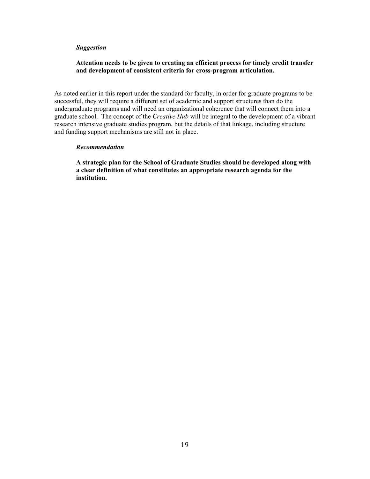#### *Suggestion*

## **Attention needs to be given to creating an efficient process for timely credit transfer and development of consistent criteria for cross-program articulation.**

As noted earlier in this report under the standard for faculty, in order for graduate programs to be successful, they will require a different set of academic and support structures than do the undergraduate programs and will need an organizational coherence that will connect them into a graduate school. The concept of the *Creative Hub* will be integral to the development of a vibrant research intensive graduate studies program, but the details of that linkage, including structure and funding support mechanisms are still not in place.

#### *Recommendation*

**A strategic plan for the School of Graduate Studies should be developed along with a clear definition of what constitutes an appropriate research agenda for the institution.**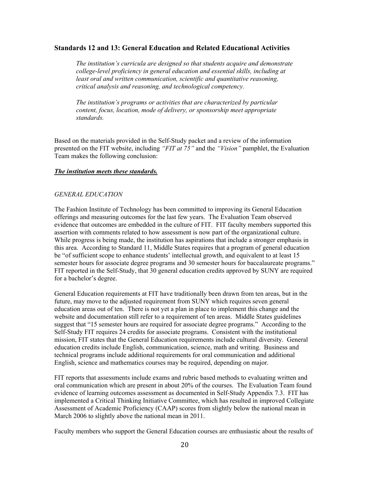# **Standards 12 and 13: General Education and Related Educational Activities**

*The institution's curricula are designed so that students acquire and demonstrate college-level proficiency in general education and essential skills, including at least oral and written communication, scientific and quantitative reasoning, critical analysis and reasoning, and technological competency.* 

*The institution's programs or activities that are characterized by particular content, focus, location, mode of delivery, or sponsorship meet appropriate standards.* 

Based on the materials provided in the Self-Study packet and a review of the information presented on the FIT website, including *"FIT at 75"* and the *"Vision"* pamphlet, the Evaluation Team makes the following conclusion:

## *The institution meets these standards.*

### *GENERAL EDUCATION*

The Fashion Institute of Technology has been committed to improving its General Education offerings and measuring outcomes for the last few years. The Evaluation Team observed evidence that outcomes are embedded in the culture of FIT. FIT faculty members supported this assertion with comments related to how assessment is now part of the organizational culture. While progress is being made, the institution has aspirations that include a stronger emphasis in this area. According to Standard 11, Middle States requires that a program of general education be "of sufficient scope to enhance students' intellectual growth, and equivalent to at least 15 semester hours for associate degree programs and 30 semester hours for baccalaureate programs." FIT reported in the Self-Study, that 30 general education credits approved by SUNY are required for a bachelor's degree.

General Education requirements at FIT have traditionally been drawn from ten areas, but in the future, may move to the adjusted requirement from SUNY which requires seven general education areas out of ten. There is not yet a plan in place to implement this change and the website and documentation still refer to a requirement of ten areas. Middle States guidelines suggest that "15 semester hours are required for associate degree programs." According to the Self-Study FIT requires 24 credits for associate programs. Consistent with the institutional mission, FIT states that the General Education requirements include cultural diversity. General education credits include English, communication, science, math and writing. Business and technical programs include additional requirements for oral communication and additional English, science and mathematics courses may be required, depending on major.

FIT reports that assessments include exams and rubric based methods to evaluating written and oral communication which are present in about 20% of the courses. The Evaluation Team found evidence of learning outcomes assessment as documented in Self-Study Appendix 7.3. FIT has implemented a Critical Thinking Initiative Committee, which has resulted in improved Collegiate Assessment of Academic Proficiency (CAAP) scores from slightly below the national mean in March 2006 to slightly above the national mean in 2011.

Faculty members who support the General Education courses are enthusiastic about the results of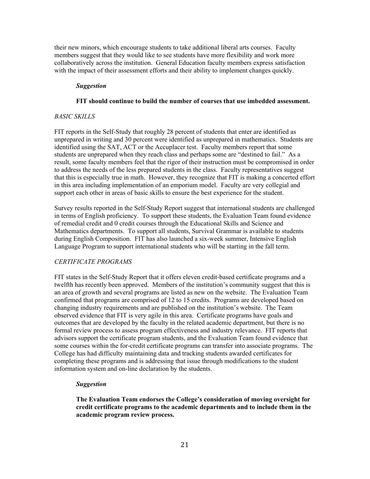their new minors, which encourage students to take additional liberal arts courses. Faculty members suggest that they would like to see students have more flexibility and work more collaboratively across the institution. General Education faculty members express satisfaction with the impact of their assessment efforts and their ability to implement changes quickly.

### *Suggestion*

#### **FIT should continue to build the number of courses that use imbedded assessment.**

### *BASIC SKILLS*

FIT reports in the Self-Study that roughly 28 percent of students that enter are identified as unprepared in writing and 30 percent were identified as unprepared in mathematics. Students are identified using the SAT, ACT or the Accuplacer test. Faculty members report that some students are unprepared when they reach class and perhaps some are "destined to fail." As a result, some faculty members feel that the rigor of their instruction must be compromised in order to address the needs of the less prepared students in the class. Faculty representatives suggest that this is especially true in math. However, they recognize that FIT is making a concerted effort in this area including implementation of an emporium model. Faculty are very collegial and support each other in areas of basic skills to ensure the best experience for the student.

Survey results reported in the Self-Study Report suggest that international students are challenged in terms of English proficiency. To support these students, the Evaluation Team found evidence of remedial credit and 0 credit courses through the Educational Skills and Science and Mathematics departments. To support all students, Survival Grammar is available to students during English Composition. FIT has also launched a six-week summer, Intensive English Language Program to support international students who will be starting in the fall term.

#### *CERTIFICATE PROGRAMS*

FIT states in the Self-Study Report that it offers eleven credit-based certificate programs and a twelfth has recently been approved. Members of the institution's community suggest that this is an area of growth and several programs are listed as new on the website. The Evaluation Team confirmed that programs are comprised of 12 to 15 credits. Programs are developed based on changing industry requirements and are published on the institution's website. The Team observed evidence that FIT is very agile in this area. Certificate programs have goals and outcomes that are developed by the faculty in the related academic department, but there is no formal review process to assess program effectiveness and industry relevance. FIT reports that advisors support the certificate program students, and the Evaluation Team found evidence that some courses within the for-credit certificate programs can transfer into associate programs. The College has had difficulty maintaining data and tracking students awarded certificates for completing these programs and is addressing that issue through modifications to the student information system and on-line declaration by the students.

#### *Suggestion*

**The Evaluation Team endorses the College's consideration of moving oversight for credit certificate programs to the academic departments and to include them in the academic program review process.**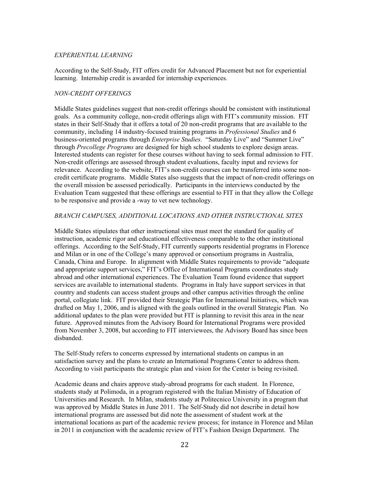### *EXPERIENTIAL LEARNING*

According to the Self-Study, FIT offers credit for Advanced Placement but not for experiential learning. Internship credit is awarded for internship experiences.

### *NON-CREDIT OFFERINGS*

Middle States guidelines suggest that non-credit offerings should be consistent with institutional goals. As a community college, non-credit offerings align with FIT's community mission. FIT states in their Self-Study that it offers a total of 20 non-credit programs that are available to the community, including 14 industry-focused training programs in *Professional Studies* and 6 business-oriented programs through *Enterprise Studies*. "Saturday Live" and "Summer Live" through *Precollege Programs* are designed for high school students to explore design areas. Interested students can register for these courses without having to seek formal admission to FIT. Non-credit offerings are assessed through student evaluations, faculty input and reviews for relevance. According to the website, FIT's non-credit courses can be transferred into some noncredit certificate programs. Middle States also suggests that the impact of non-credit offerings on the overall mission be assessed periodically. Participants in the interviews conducted by the Evaluation Team suggested that these offerings are essential to FIT in that they allow the College to be responsive and provide a -way to vet new technology.

### *BRANCH CAMPUSES, ADDITIONAL LOCATIONS AND OTHER INSTRUCTIONAL SITES*

Middle States stipulates that other instructional sites must meet the standard for quality of instruction, academic rigor and educational effectiveness comparable to the other institutional offerings. According to the Self-Study, FIT currently supports residential programs in Florence and Milan or in one of the College's many approved or consortium programs in Australia, Canada, China and Europe. In alignment with Middle States requirements to provide "adequate and appropriate support services," FIT's Office of International Programs coordinates study abroad and other international experiences. The Evaluation Team found evidence that support services are available to international students. Programs in Italy have support services in that country and students can access student groups and other campus activities through the online portal, collegiate link. FIT provided their Strategic Plan for International Initiatives, which was drafted on May 1, 2006, and is aligned with the goals outlined in the overall Strategic Plan. No additional updates to the plan were provided but FIT is planning to revisit this area in the near future. Approved minutes from the Advisory Board for International Programs were provided from November 3, 2008, but according to FIT interviewees, the Advisory Board has since been disbanded.

The Self-Study refers to concerns expressed by international students on campus in an satisfaction survey and the plans to create an International Programs Center to address them. According to visit participants the strategic plan and vision for the Center is being revisited.

Academic deans and chairs approve study-abroad programs for each student. In Florence, students study at Polimoda, in a program registered with the Italian Ministry of Education of Universities and Research. In Milan, students study at Politecnico University in a program that was approved by Middle States in June 2011. The Self-Study did not describe in detail how international programs are assessed but did note the assessment of student work at the international locations as part of the academic review process; for instance in Florence and Milan in 2011 in conjunction with the academic review of FIT's Fashion Design Department. The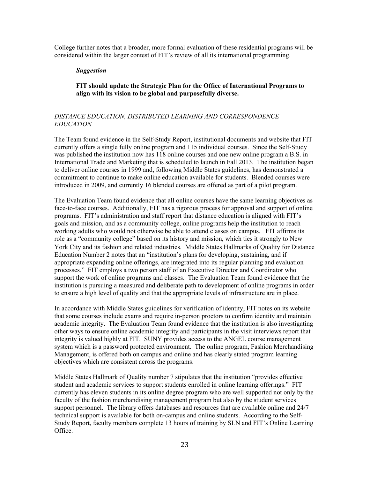College further notes that a broader, more formal evaluation of these residential programs will be considered within the larger contest of FIT's review of all its international programming.

### *Suggestion*

**FIT should update the Strategic Plan for the Office of International Programs to align with its vision to be global and purposefully diverse.**

# *DISTANCE EDUCATION, DISTRIBUTED LEARNING AND CORRESPONDENCE EDUCATION*

The Team found evidence in the Self-Study Report, institutional documents and website that FIT currently offers a single fully online program and 115 individual courses. Since the Self-Study was published the institution now has 118 online courses and one new online program a B.S. in International Trade and Marketing that is scheduled to launch in Fall 2013. The institution began to deliver online courses in 1999 and, following Middle States guidelines, has demonstrated a commitment to continue to make online education available for students. Blended courses were introduced in 2009, and currently 16 blended courses are offered as part of a pilot program.

The Evaluation Team found evidence that all online courses have the same learning objectives as face-to-face courses. Additionally, FIT has a rigorous process for approval and support of online programs. FIT's administration and staff report that distance education is aligned with FIT's goals and mission, and as a community college, online programs help the institution to reach working adults who would not otherwise be able to attend classes on campus. FIT affirms its role as a "community college" based on its history and mission, which ties it strongly to New York City and its fashion and related industries. Middle States Hallmarks of Quality for Distance Education Number 2 notes that an "institution's plans for developing, sustaining, and if appropriate expanding online offerings, are integrated into its regular planning and evaluation processes." FIT employs a two person staff of an Executive Director and Coordinator who support the work of online programs and classes. The Evaluation Team found evidence that the institution is pursuing a measured and deliberate path to development of online programs in order to ensure a high level of quality and that the appropriate levels of infrastructure are in place.

In accordance with Middle States guidelines for verification of identity, FIT notes on its website that some courses include exams and require in-person proctors to confirm identity and maintain academic integrity. The Evaluation Team found evidence that the institution is also investigating other ways to ensure online academic integrity and participants in the visit interviews report that integrity is valued highly at FIT. SUNY provides access to the ANGEL course management system which is a password protected environment. The online program, Fashion Merchandising Management, is offered both on campus and online and has clearly stated program learning objectives which are consistent across the programs.

Middle States Hallmark of Quality number 7 stipulates that the institution "provides effective student and academic services to support students enrolled in online learning offerings." FIT currently has eleven students in its online degree program who are well supported not only by the faculty of the fashion merchandising management program but also by the student services support personnel. The library offers databases and resources that are available online and 24/7 technical support is available for both on-campus and online students. According to the Self-Study Report, faculty members complete 13 hours of training by SLN and FIT's Online Learning Office.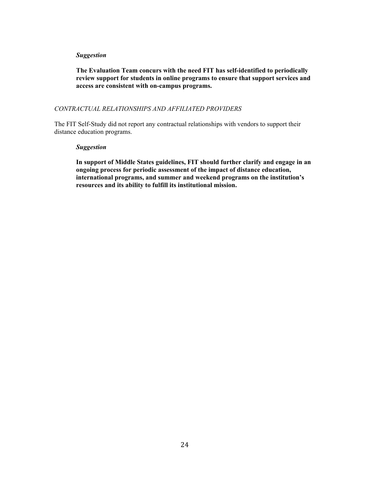#### *Suggestion*

**The Evaluation Team concurs with the need FIT has self-identified to periodically review support for students in online programs to ensure that support services and access are consistent with on-campus programs.** 

### *CONTRACTUAL RELATIONSHIPS AND AFFILIATED PROVIDERS*

The FIT Self-Study did not report any contractual relationships with vendors to support their distance education programs.

#### *Suggestion*

**In support of Middle States guidelines, FIT should further clarify and engage in an ongoing process for periodic assessment of the impact of distance education, international programs, and summer and weekend programs on the institution's resources and its ability to fulfill its institutional mission.**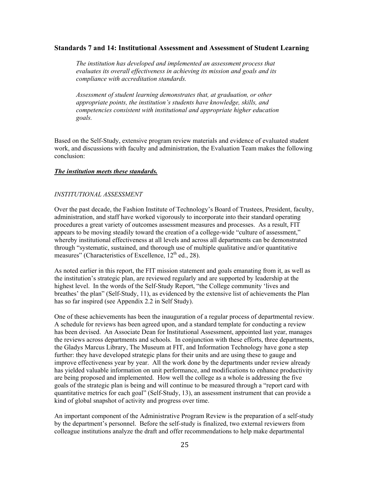## **Standards 7 and 14: Institutional Assessment and Assessment of Student Learning**

*The institution has developed and implemented an assessment process that evaluates its overall effectiveness in achieving its mission and goals and its compliance with accreditation standards.* 

*Assessment of student learning demonstrates that, at graduation, or other appropriate points, the institution's students have knowledge, skills, and competencies consistent with institutional and appropriate higher education goals.* 

Based on the Self-Study, extensive program review materials and evidence of evaluated student work, and discussions with faculty and administration, the Evaluation Team makes the following conclusion:

## *The institution meets these standards.*

## *INSTITUTIONAL ASSESSMENT*

Over the past decade, the Fashion Institute of Technology's Board of Trustees, President, faculty, administration, and staff have worked vigorously to incorporate into their standard operating procedures a great variety of outcomes assessment measures and processes. As a result, FIT appears to be moving steadily toward the creation of a college-wide "culture of assessment," whereby institutional effectiveness at all levels and across all departments can be demonstrated through "systematic, sustained, and thorough use of multiple qualitative and/or quantitative measures" (Characteristics of Excellence,  $12^{th}$  ed., 28).

As noted earlier in this report, the FIT mission statement and goals emanating from it, as well as the institution's strategic plan, are reviewed regularly and are supported by leadership at the highest level. In the words of the Self-Study Report, "the College community 'lives and breathes' the plan" (Self-Study, 11), as evidenced by the extensive list of achievements the Plan has so far inspired (see Appendix 2.2 in Self Study).

One of these achievements has been the inauguration of a regular process of departmental review. A schedule for reviews has been agreed upon, and a standard template for conducting a review has been devised. An Associate Dean for Institutional Assessment, appointed last year, manages the reviews across departments and schools. In conjunction with these efforts, three departments, the Gladys Marcus Library, The Museum at FIT, and Information Technology have gone a step further: they have developed strategic plans for their units and are using these to gauge and improve effectiveness year by year. All the work done by the departments under review already has yielded valuable information on unit performance, and modifications to enhance productivity are being proposed and implemented. How well the college as a whole is addressing the five goals of the strategic plan is being and will continue to be measured through a "report card with quantitative metrics for each goal" (Self-Study, 13), an assessment instrument that can provide a kind of global snapshot of activity and progress over time.

An important component of the Administrative Program Review is the preparation of a self-study by the department's personnel. Before the self-study is finalized, two external reviewers from colleague institutions analyze the draft and offer recommendations to help make departmental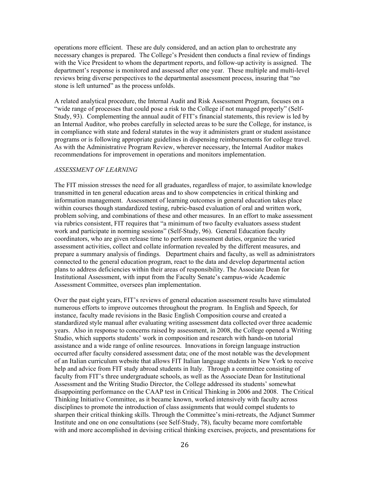operations more efficient. These are duly considered, and an action plan to orchestrate any necessary changes is prepared. The College's President then conducts a final review of findings with the Vice President to whom the department reports, and follow-up activity is assigned. The department's response is monitored and assessed after one year. These multiple and multi-level reviews bring diverse perspectives to the departmental assessment process, insuring that "no stone is left unturned" as the process unfolds.

A related analytical procedure, the Internal Audit and Risk Assessment Program, focuses on a "wide range of processes that could pose a risk to the College if not managed properly" (Self-Study, 93). Complementing the annual audit of FIT's financial statements, this review is led by an Internal Auditor, who probes carefully in selected areas to be sure the College, for instance, is in compliance with state and federal statutes in the way it administers grant or student assistance programs or is following appropriate guidelines in dispensing reimbursements for college travel. As with the Administrative Program Review, wherever necessary, the Internal Auditor makes recommendations for improvement in operations and monitors implementation.

### *ASSESSMENT OF LEARNING*

The FIT mission stresses the need for all graduates, regardless of major, to assimilate knowledge transmitted in ten general education areas and to show competencies in critical thinking and information management. Assessment of learning outcomes in general education takes place within courses though standardized testing, rubric-based evaluation of oral and written work, problem solving, and combinations of these and other measures. In an effort to make assessment via rubrics consistent, FIT requires that "a minimum of two faculty evaluators assess student work and participate in norming sessions" (Self-Study, 96). General Education faculty coordinators, who are given release time to perform assessment duties, organize the varied assessment activities, collect and collate information revealed by the different measures, and prepare a summary analysis of findings. Department chairs and faculty, as well as administrators connected to the general education program, react to the data and develop departmental action plans to address deficiencies within their areas of responsibility. The Associate Dean for Institutional Assessment, with input from the Faculty Senate's campus-wide Academic Assessment Committee, oversees plan implementation.

Over the past eight years, FIT's reviews of general education assessment results have stimulated numerous efforts to improve outcomes throughout the program. In English and Speech, for instance, faculty made revisions in the Basic English Composition course and created a standardized style manual after evaluating writing assessment data collected over three academic years. Also in response to concerns raised by assessment, in 2008, the College opened a Writing Studio, which supports students' work in composition and research with hands-on tutorial assistance and a wide range of online resources. Innovations in foreign language instruction occurred after faculty considered assessment data; one of the most notable was the development of an Italian curriculum website that allows FIT Italian language students in New York to receive help and advice from FIT study abroad students in Italy. Through a committee consisting of faculty from FIT's three undergraduate schools, as well as the Associate Dean for Institutional Assessment and the Writing Studio Director, the College addressed its students' somewhat disappointing performance on the CAAP test in Critical Thinking in 2006 and 2008. The Critical Thinking Initiative Committee, as it became known, worked intensively with faculty across disciplines to promote the introduction of class assignments that would compel students to sharpen their critical thinking skills. Through the Committee's mini-retreats, the Adjunct Summer Institute and one on one consultations (see Self-Study, 78), faculty became more comfortable with and more accomplished in devising critical thinking exercises, projects, and presentations for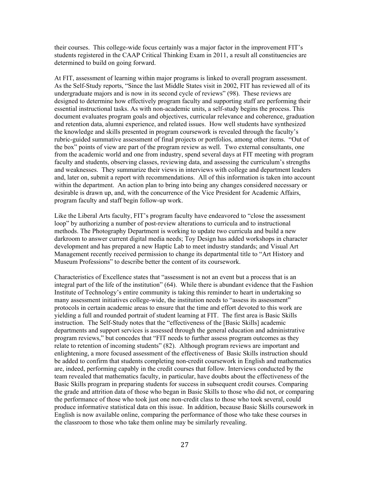their courses. This college-wide focus certainly was a major factor in the improvement FIT's students registered in the CAAP Critical Thinking Exam in 2011, a result all constituencies are determined to build on going forward.

At FIT, assessment of learning within major programs is linked to overall program assessment. As the Self-Study reports, "Since the last Middle States visit in 2002, FIT has reviewed all of its undergraduate majors and is now in its second cycle of reviews" (98). These reviews are designed to determine how effectively program faculty and supporting staff are performing their essential instructional tasks. As with non-academic units, a self-study begins the process. This document evaluates program goals and objectives, curricular relevance and coherence, graduation and retention data, alumni experience, and related issues. How well students have synthesized the knowledge and skills presented in program coursework is revealed through the faculty's rubric-guided summative assessment of final projects or portfolios, among other items. "Out of the box" points of view are part of the program review as well. Two external consultants, one from the academic world and one from industry, spend several days at FIT meeting with program faculty and students, observing classes, reviewing data, and assessing the curriculum's strengths and weaknesses. They summarize their views in interviews with college and department leaders and, later on, submit a report with recommendations. All of this information is taken into account within the department. An action plan to bring into being any changes considered necessary or desirable is drawn up, and, with the concurrence of the Vice President for Academic Affairs, program faculty and staff begin follow-up work.

Like the Liberal Arts faculty, FIT's program faculty have endeavored to "close the assessment loop" by authorizing a number of post-review alterations to curricula and to instructional methods. The Photography Department is working to update two curricula and build a new darkroom to answer current digital media needs; Toy Design has added workshops in character development and has prepared a new Haptic Lab to meet industry standards; and Visual Art Management recently received permission to change its departmental title to "Art History and Museum Professions" to describe better the content of its coursework.

Characteristics of Excellence states that "assessment is not an event but a process that is an integral part of the life of the institution" (64). While there is abundant evidence that the Fashion Institute of Technology's entire community is taking this reminder to heart in undertaking so many assessment initiatives college-wide, the institution needs to "assess its assessment" protocols in certain academic areas to ensure that the time and effort devoted to this work are yielding a full and rounded portrait of student learning at FIT. The first area is Basic Skills instruction. The Self-Study notes that the "effectiveness of the [Basic Skills] academic departments and support services is assessed through the general education and administrative program reviews," but concedes that "FIT needs to further assess program outcomes as they relate to retention of incoming students" (82). Although program reviews are important and enlightening, a more focused assessment of the effectiveness of Basic Skills instruction should be added to confirm that students completing non-credit coursework in English and mathematics are, indeed, performing capably in the credit courses that follow. Interviews conducted by the team revealed that mathematics faculty, in particular, have doubts about the effectiveness of the Basic Skills program in preparing students for success in subsequent credit courses. Comparing the grade and attrition data of those who began in Basic Skills to those who did not, or comparing the performance of those who took just one non-credit class to those who took several, could produce informative statistical data on this issue. In addition, because Basic Skills coursework in English is now available online, comparing the performance of those who take these courses in the classroom to those who take them online may be similarly revealing.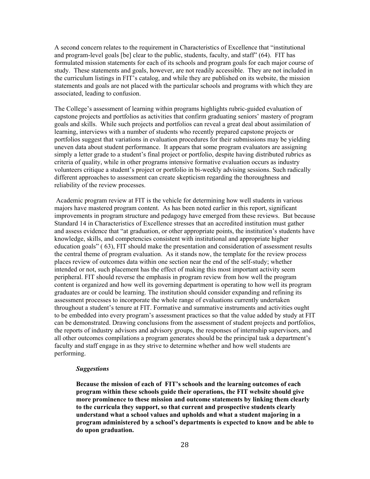A second concern relates to the requirement in Characteristics of Excellence that "institutional and program-level goals [be] clear to the public, students, faculty, and staff" (64). FIT has formulated mission statements for each of its schools and program goals for each major course of study. These statements and goals, however, are not readily accessible. They are not included in the curriculum listings in FIT's catalog, and while they are published on its website, the mission statements and goals are not placed with the particular schools and programs with which they are associated, leading to confusion.

The College's assessment of learning within programs highlights rubric-guided evaluation of capstone projects and portfolios as activities that confirm graduating seniors' mastery of program goals and skills. While such projects and portfolios can reveal a great deal about assimilation of learning, interviews with a number of students who recently prepared capstone projects or portfolios suggest that variations in evaluation procedures for their submissions may be yielding uneven data about student performance. It appears that some program evaluators are assigning simply a letter grade to a student's final project or portfolio, despite having distributed rubrics as criteria of quality, while in other programs intensive formative evaluation occurs as industry volunteers critique a student's project or portfolio in bi-weekly advising sessions. Such radically different approaches to assessment can create skepticism regarding the thoroughness and reliability of the review processes.

 Academic program review at FIT is the vehicle for determining how well students in various majors have mastered program content. As has been noted earlier in this report, significant improvements in program structure and pedagogy have emerged from these reviews. But because Standard 14 in Characteristics of Excellence stresses that an accredited institution must gather and assess evidence that "at graduation, or other appropriate points, the institution's students have knowledge, skills, and competencies consistent with institutional and appropriate higher education goals" ( 63), FIT should make the presentation and consideration of assessment results the central theme of program evaluation. As it stands now, the template for the review process places review of outcomes data within one section near the end of the self-study; whether intended or not, such placement has the effect of making this most important activity seem peripheral. FIT should reverse the emphasis in program review from how well the program content is organized and how well its governing department is operating to how well its program graduates are or could be learning. The institution should consider expanding and refining its assessment processes to incorporate the whole range of evaluations currently undertaken throughout a student's tenure at FIT. Formative and summative instruments and activities ought to be embedded into every program's assessment practices so that the value added by study at FIT can be demonstrated. Drawing conclusions from the assessment of student projects and portfolios, the reports of industry advisors and advisory groups, the responses of internship supervisors, and all other outcomes compilations a program generates should be the principal task a department's faculty and staff engage in as they strive to determine whether and how well students are performing.

#### *Suggestions*

**Because the mission of each of FIT's schools and the learning outcomes of each program within these schools guide their operations, the FIT website should give more prominence to these mission and outcome statements by linking them clearly to the curricula they support, so that current and prospective students clearly understand what a school values and upholds and what a student majoring in a program administered by a school's departments is expected to know and be able to do upon graduation.**